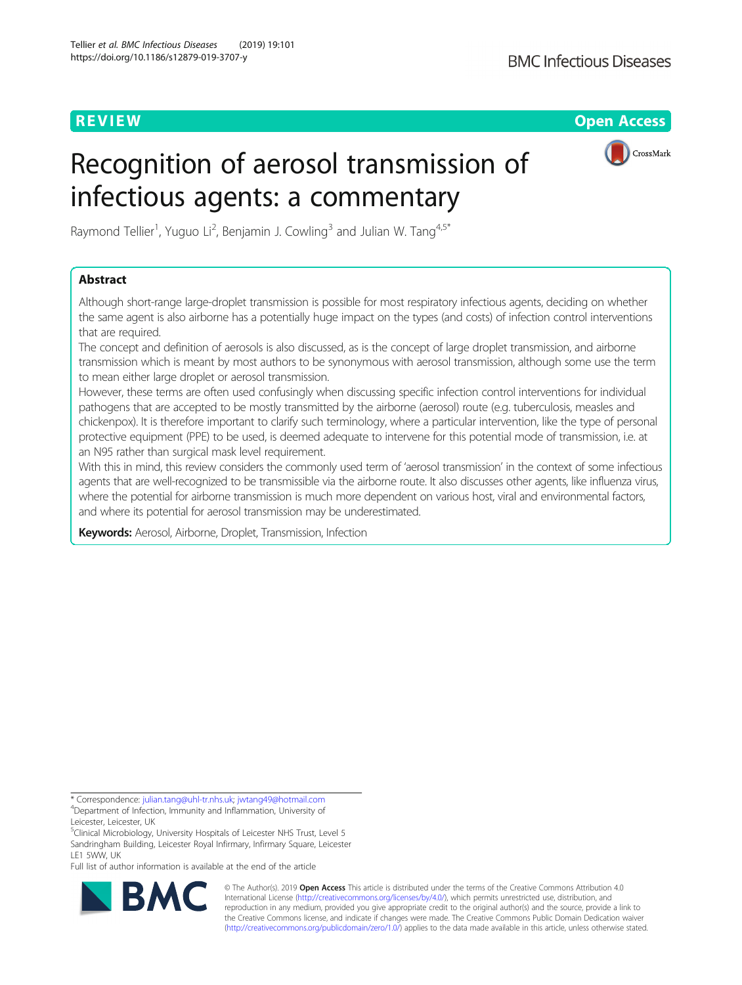**REVIEW CONTROL** CONTROL CONTROL CONTROL CONTROL CONTROL CONTROL CONTROL CONTROL CONTROL CONTROL CONTROL CONTROL CONTROL CONTROL CONTROL CONTROL CONTROL CONTROL CONTROL CONTROL CONTROL CONTROL CONTROL CONTROL CONTROL CONTR

# Recognition of aerosol transmission of infectious agents: a commentary



Raymond Tellier<sup>1</sup>, Yuguo Li<sup>2</sup>, Benjamin J. Cowling $^3$  and Julian W. Tang $^{4,5^\ast}$ 

# Abstract

Although short-range large-droplet transmission is possible for most respiratory infectious agents, deciding on whether the same agent is also airborne has a potentially huge impact on the types (and costs) of infection control interventions that are required.

The concept and definition of aerosols is also discussed, as is the concept of large droplet transmission, and airborne transmission which is meant by most authors to be synonymous with aerosol transmission, although some use the term to mean either large droplet or aerosol transmission.

However, these terms are often used confusingly when discussing specific infection control interventions for individual pathogens that are accepted to be mostly transmitted by the airborne (aerosol) route (e.g. tuberculosis, measles and chickenpox). It is therefore important to clarify such terminology, where a particular intervention, like the type of personal protective equipment (PPE) to be used, is deemed adequate to intervene for this potential mode of transmission, i.e. at an N95 rather than surgical mask level requirement.

With this in mind, this review considers the commonly used term of 'aerosol transmission' in the context of some infectious agents that are well-recognized to be transmissible via the airborne route. It also discusses other agents, like influenza virus, where the potential for airborne transmission is much more dependent on various host, viral and environmental factors, and where its potential for aerosol transmission may be underestimated.

Keywords: Aerosol, Airborne, Droplet, Transmission, Infection

\* Correspondence: [julian.tang@uhl-tr.nhs.uk](mailto:julian.tang@uhl-tr.nhs.uk); [jwtang49@hotmail.com](mailto:jwtang49@hotmail.com) <sup>4</sup> Department of Infection, Immunity and Inflammation, University of

<sup>5</sup>Clinical Microbiology, University Hospitals of Leicester NHS Trust, Level 5 Sandringham Building, Leicester Royal Infirmary, Infirmary Square, Leicester LE1 5WW, UK

Full list of author information is available at the end of the article



© The Author(s). 2019 **Open Access** This article is distributed under the terms of the Creative Commons Attribution 4.0 International License [\(http://creativecommons.org/licenses/by/4.0/](http://creativecommons.org/licenses/by/4.0/)), which permits unrestricted use, distribution, and reproduction in any medium, provided you give appropriate credit to the original author(s) and the source, provide a link to the Creative Commons license, and indicate if changes were made. The Creative Commons Public Domain Dedication waiver [\(http://creativecommons.org/publicdomain/zero/1.0/](http://creativecommons.org/publicdomain/zero/1.0/)) applies to the data made available in this article, unless otherwise stated.

Leicester, Leicester, UK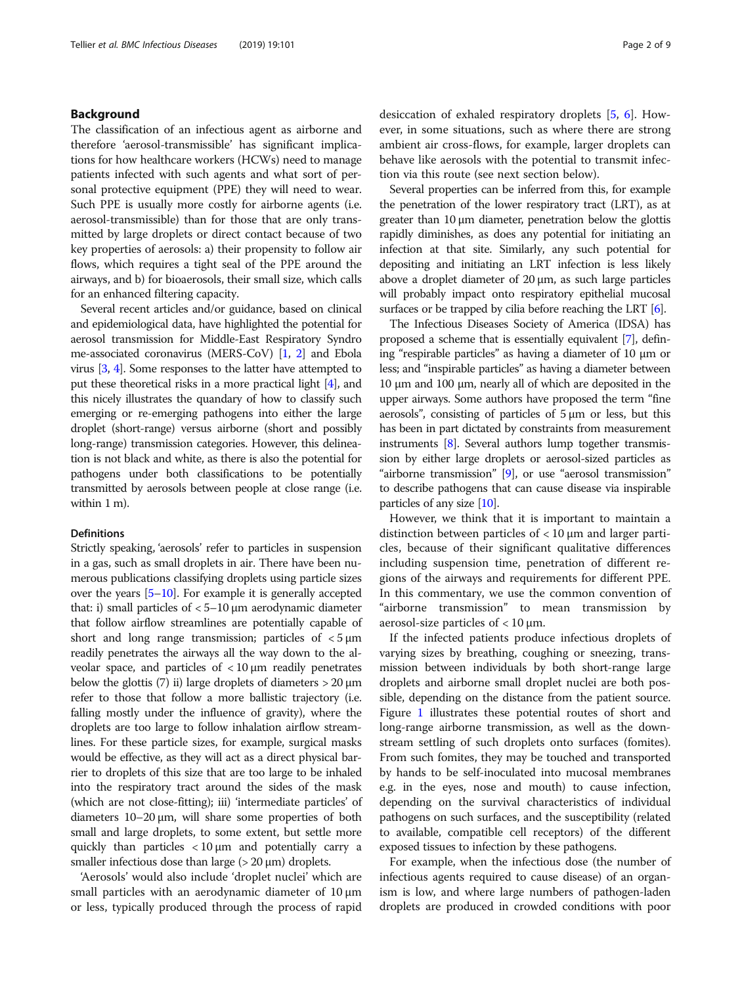# Background

The classification of an infectious agent as airborne and therefore 'aerosol-transmissible' has significant implications for how healthcare workers (HCWs) need to manage patients infected with such agents and what sort of personal protective equipment (PPE) they will need to wear. Such PPE is usually more costly for airborne agents (i.e. aerosol-transmissible) than for those that are only transmitted by large droplets or direct contact because of two key properties of aerosols: a) their propensity to follow air flows, which requires a tight seal of the PPE around the airways, and b) for bioaerosols, their small size, which calls for an enhanced filtering capacity.

Several recent articles and/or guidance, based on clinical and epidemiological data, have highlighted the potential for aerosol transmission for Middle-East Respiratory Syndro me-associated coronavirus (MERS-CoV) [[1](#page-6-0), [2](#page-6-0)] and Ebola virus [[3](#page-6-0), [4\]](#page-6-0). Some responses to the latter have attempted to put these theoretical risks in a more practical light [\[4\]](#page-6-0), and this nicely illustrates the quandary of how to classify such emerging or re-emerging pathogens into either the large droplet (short-range) versus airborne (short and possibly long-range) transmission categories. However, this delineation is not black and white, as there is also the potential for pathogens under both classifications to be potentially transmitted by aerosols between people at close range (i.e. within 1 m).

### Definitions

Strictly speaking, 'aerosols' refer to particles in suspension in a gas, such as small droplets in air. There have been numerous publications classifying droplets using particle sizes over the years [[5](#page-6-0)–[10\]](#page-6-0). For example it is generally accepted that: i) small particles of  $< 5-10$  μm aerodynamic diameter that follow airflow streamlines are potentially capable of short and long range transmission; particles of  $\lt$  5  $\mu$ m readily penetrates the airways all the way down to the alveolar space, and particles of  $\langle 10 \mu m \rangle$  readily penetrates below the glottis (7) ii) large droplets of diameters  $> 20 \mu m$ refer to those that follow a more ballistic trajectory (i.e. falling mostly under the influence of gravity), where the droplets are too large to follow inhalation airflow streamlines. For these particle sizes, for example, surgical masks would be effective, as they will act as a direct physical barrier to droplets of this size that are too large to be inhaled into the respiratory tract around the sides of the mask (which are not close-fitting); iii) 'intermediate particles' of diameters 10–20 μm, will share some properties of both small and large droplets, to some extent, but settle more quickly than particles < 10 μm and potentially carry a smaller infectious dose than large  $(> 20 \,\mu m)$  droplets.

'Aerosols' would also include 'droplet nuclei' which are small particles with an aerodynamic diameter of 10 μm or less, typically produced through the process of rapid desiccation of exhaled respiratory droplets [\[5,](#page-6-0) [6](#page-6-0)]. However, in some situations, such as where there are strong ambient air cross-flows, for example, larger droplets can behave like aerosols with the potential to transmit infection via this route (see next section below).

Several properties can be inferred from this, for example the penetration of the lower respiratory tract (LRT), as at greater than 10 μm diameter, penetration below the glottis rapidly diminishes, as does any potential for initiating an infection at that site. Similarly, any such potential for depositing and initiating an LRT infection is less likely above a droplet diameter of 20 μm, as such large particles will probably impact onto respiratory epithelial mucosal surfaces or be trapped by cilia before reaching the LRT [\[6\]](#page-6-0).

The Infectious Diseases Society of America (IDSA) has proposed a scheme that is essentially equivalent [\[7](#page-6-0)], defining "respirable particles" as having a diameter of 10 μm or less; and "inspirable particles" as having a diameter between 10 μm and 100 μm, nearly all of which are deposited in the upper airways. Some authors have proposed the term "fine aerosols", consisting of particles of  $5 \mu m$  or less, but this has been in part dictated by constraints from measurement instruments [\[8\]](#page-6-0). Several authors lump together transmission by either large droplets or aerosol-sized particles as "airborne transmission" [[9\]](#page-6-0), or use "aerosol transmission" to describe pathogens that can cause disease via inspirable particles of any size [\[10\]](#page-6-0).

However, we think that it is important to maintain a distinction between particles of  $<$  10  $\mu$ m and larger particles, because of their significant qualitative differences including suspension time, penetration of different regions of the airways and requirements for different PPE. In this commentary, we use the common convention of "airborne transmission" to mean transmission by aerosol-size particles of < 10 μm.

If the infected patients produce infectious droplets of varying sizes by breathing, coughing or sneezing, transmission between individuals by both short-range large droplets and airborne small droplet nuclei are both possible, depending on the distance from the patient source. Figure [1](#page-2-0) illustrates these potential routes of short and long-range airborne transmission, as well as the downstream settling of such droplets onto surfaces (fomites). From such fomites, they may be touched and transported by hands to be self-inoculated into mucosal membranes e.g. in the eyes, nose and mouth) to cause infection, depending on the survival characteristics of individual pathogens on such surfaces, and the susceptibility (related to available, compatible cell receptors) of the different exposed tissues to infection by these pathogens.

For example, when the infectious dose (the number of infectious agents required to cause disease) of an organism is low, and where large numbers of pathogen-laden droplets are produced in crowded conditions with poor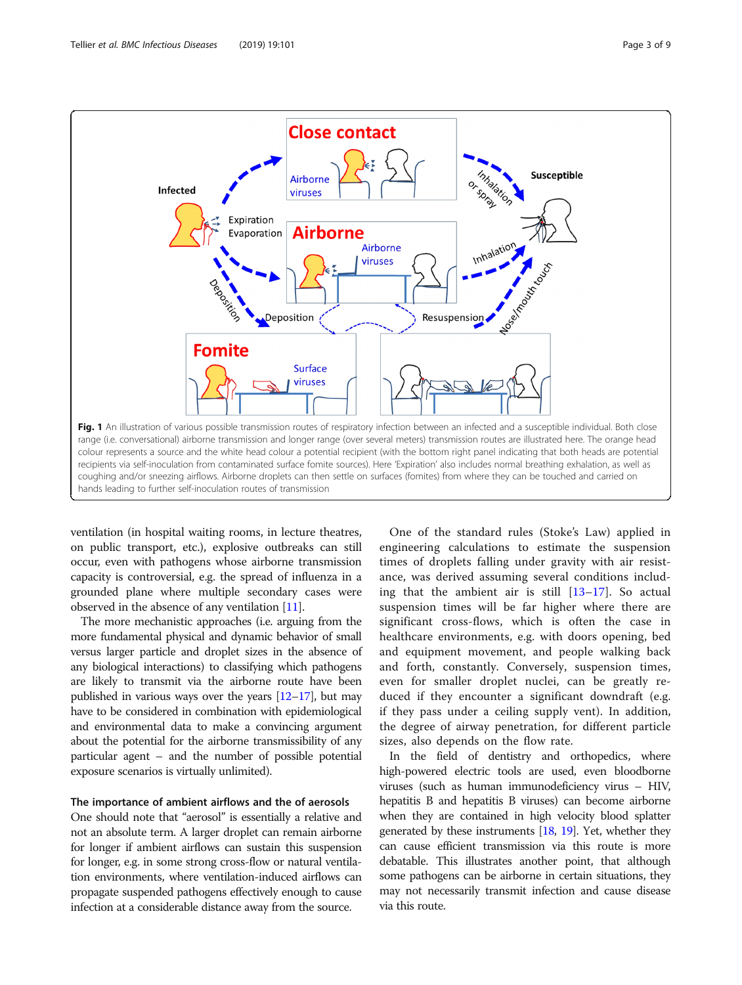<span id="page-2-0"></span>

ventilation (in hospital waiting rooms, in lecture theatres, on public transport, etc.), explosive outbreaks can still occur, even with pathogens whose airborne transmission capacity is controversial, e.g. the spread of influenza in a grounded plane where multiple secondary cases were observed in the absence of any ventilation [[11](#page-6-0)].

The more mechanistic approaches (i.e. arguing from the more fundamental physical and dynamic behavior of small versus larger particle and droplet sizes in the absence of any biological interactions) to classifying which pathogens are likely to transmit via the airborne route have been published in various ways over the years  $[12–17]$  $[12–17]$  $[12–17]$  $[12–17]$  $[12–17]$ , but may have to be considered in combination with epidemiological and environmental data to make a convincing argument about the potential for the airborne transmissibility of any particular agent – and the number of possible potential exposure scenarios is virtually unlimited).

#### The importance of ambient airflows and the of aerosols

One should note that "aerosol" is essentially a relative and not an absolute term. A larger droplet can remain airborne for longer if ambient airflows can sustain this suspension for longer, e.g. in some strong cross-flow or natural ventilation environments, where ventilation-induced airflows can propagate suspended pathogens effectively enough to cause infection at a considerable distance away from the source.

One of the standard rules (Stoke's Law) applied in engineering calculations to estimate the suspension times of droplets falling under gravity with air resistance, was derived assuming several conditions including that the ambient air is still [[13](#page-6-0)–[17\]](#page-6-0). So actual suspension times will be far higher where there are significant cross-flows, which is often the case in healthcare environments, e.g. with doors opening, bed and equipment movement, and people walking back and forth, constantly. Conversely, suspension times, even for smaller droplet nuclei, can be greatly reduced if they encounter a significant downdraft (e.g. if they pass under a ceiling supply vent). In addition, the degree of airway penetration, for different particle sizes, also depends on the flow rate.

In the field of dentistry and orthopedics, where high-powered electric tools are used, even bloodborne viruses (such as human immunodeficiency virus – HIV, hepatitis B and hepatitis B viruses) can become airborne when they are contained in high velocity blood splatter generated by these instruments [[18,](#page-6-0) [19\]](#page-6-0). Yet, whether they can cause efficient transmission via this route is more debatable. This illustrates another point, that although some pathogens can be airborne in certain situations, they may not necessarily transmit infection and cause disease via this route.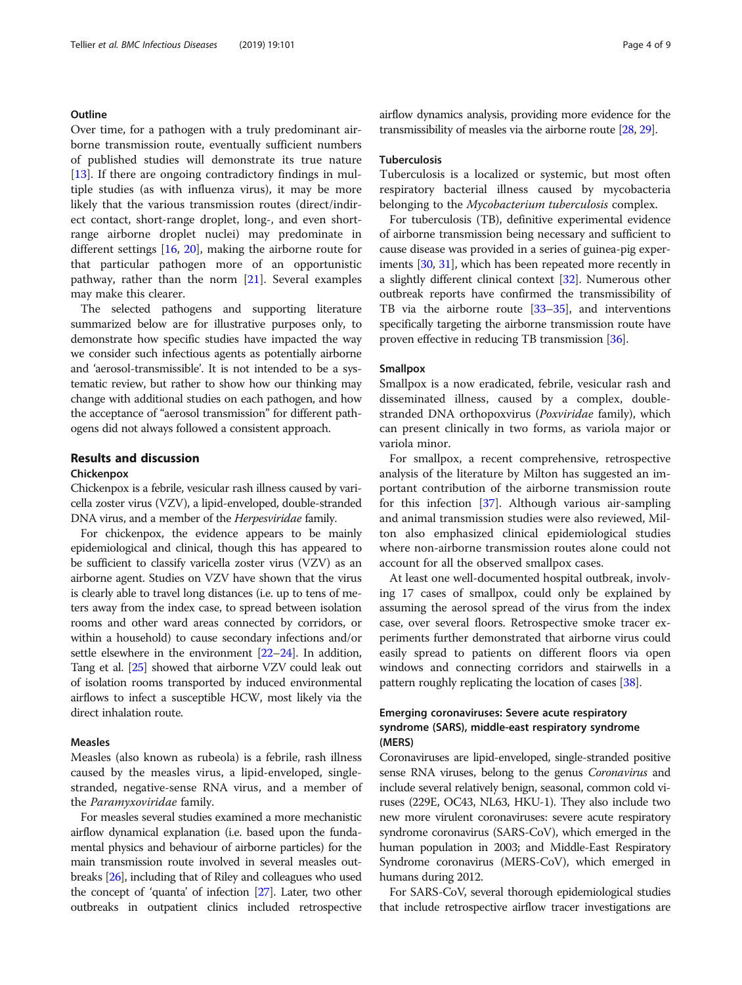# **Outline**

Over time, for a pathogen with a truly predominant airborne transmission route, eventually sufficient numbers of published studies will demonstrate its true nature [[13\]](#page-6-0). If there are ongoing contradictory findings in multiple studies (as with influenza virus), it may be more likely that the various transmission routes (direct/indirect contact, short-range droplet, long-, and even shortrange airborne droplet nuclei) may predominate in different settings [\[16](#page-6-0), [20](#page-6-0)], making the airborne route for that particular pathogen more of an opportunistic pathway, rather than the norm [[21\]](#page-6-0). Several examples may make this clearer.

The selected pathogens and supporting literature summarized below are for illustrative purposes only, to demonstrate how specific studies have impacted the way we consider such infectious agents as potentially airborne and 'aerosol-transmissible'. It is not intended to be a systematic review, but rather to show how our thinking may change with additional studies on each pathogen, and how the acceptance of "aerosol transmission" for different pathogens did not always followed a consistent approach.

# Results and discussion

#### Chickenpox

Chickenpox is a febrile, vesicular rash illness caused by varicella zoster virus (VZV), a lipid-enveloped, double-stranded DNA virus, and a member of the *Herpesviridae* family.

For chickenpox, the evidence appears to be mainly epidemiological and clinical, though this has appeared to be sufficient to classify varicella zoster virus (VZV) as an airborne agent. Studies on VZV have shown that the virus is clearly able to travel long distances (i.e. up to tens of meters away from the index case, to spread between isolation rooms and other ward areas connected by corridors, or within a household) to cause secondary infections and/or settle elsewhere in the environment [[22](#page-6-0)–[24](#page-6-0)]. In addition, Tang et al. [[25](#page-6-0)] showed that airborne VZV could leak out of isolation rooms transported by induced environmental airflows to infect a susceptible HCW, most likely via the direct inhalation route.

# Measles

Measles (also known as rubeola) is a febrile, rash illness caused by the measles virus, a lipid-enveloped, singlestranded, negative-sense RNA virus, and a member of the Paramyxoviridae family.

For measles several studies examined a more mechanistic airflow dynamical explanation (i.e. based upon the fundamental physics and behaviour of airborne particles) for the main transmission route involved in several measles outbreaks [[26](#page-6-0)], including that of Riley and colleagues who used the concept of 'quanta' of infection [\[27\]](#page-6-0). Later, two other outbreaks in outpatient clinics included retrospective airflow dynamics analysis, providing more evidence for the transmissibility of measles via the airborne route [\[28,](#page-6-0) [29\]](#page-6-0).

#### Tuberculosis

Tuberculosis is a localized or systemic, but most often respiratory bacterial illness caused by mycobacteria belonging to the Mycobacterium tuberculosis complex.

For tuberculosis (TB), definitive experimental evidence of airborne transmission being necessary and sufficient to cause disease was provided in a series of guinea-pig experiments [[30](#page-6-0), [31\]](#page-7-0), which has been repeated more recently in a slightly different clinical context [\[32\]](#page-7-0). Numerous other outbreak reports have confirmed the transmissibility of TB via the airborne route [[33](#page-7-0)–[35\]](#page-7-0), and interventions specifically targeting the airborne transmission route have proven effective in reducing TB transmission [[36\]](#page-7-0).

#### Smallpox

Smallpox is a now eradicated, febrile, vesicular rash and disseminated illness, caused by a complex, doublestranded DNA orthopoxvirus (Poxviridae family), which can present clinically in two forms, as variola major or variola minor.

For smallpox, a recent comprehensive, retrospective analysis of the literature by Milton has suggested an important contribution of the airborne transmission route for this infection [[37](#page-7-0)]. Although various air-sampling and animal transmission studies were also reviewed, Milton also emphasized clinical epidemiological studies where non-airborne transmission routes alone could not account for all the observed smallpox cases.

At least one well-documented hospital outbreak, involving 17 cases of smallpox, could only be explained by assuming the aerosol spread of the virus from the index case, over several floors. Retrospective smoke tracer experiments further demonstrated that airborne virus could easily spread to patients on different floors via open windows and connecting corridors and stairwells in a pattern roughly replicating the location of cases [\[38](#page-7-0)].

# Emerging coronaviruses: Severe acute respiratory syndrome (SARS), middle-east respiratory syndrome (MERS)

Coronaviruses are lipid-enveloped, single-stranded positive sense RNA viruses, belong to the genus Coronavirus and include several relatively benign, seasonal, common cold viruses (229E, OC43, NL63, HKU-1). They also include two new more virulent coronaviruses: severe acute respiratory syndrome coronavirus (SARS-CoV), which emerged in the human population in 2003; and Middle-East Respiratory Syndrome coronavirus (MERS-CoV), which emerged in humans during 2012.

For SARS-CoV, several thorough epidemiological studies that include retrospective airflow tracer investigations are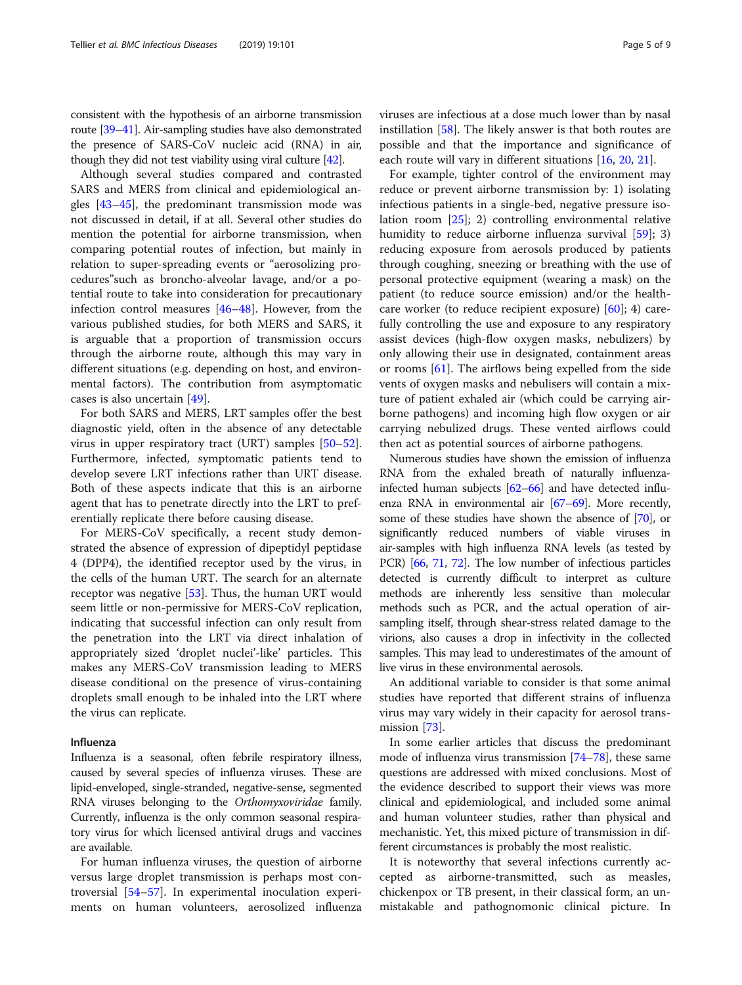consistent with the hypothesis of an airborne transmission route [\[39](#page-7-0)–[41\]](#page-7-0). Air-sampling studies have also demonstrated the presence of SARS-CoV nucleic acid (RNA) in air, though they did not test viability using viral culture [\[42\]](#page-7-0).

Although several studies compared and contrasted SARS and MERS from clinical and epidemiological angles [\[43](#page-7-0)–[45\]](#page-7-0), the predominant transmission mode was not discussed in detail, if at all. Several other studies do mention the potential for airborne transmission, when comparing potential routes of infection, but mainly in relation to super-spreading events or "aerosolizing procedures"such as broncho-alveolar lavage, and/or a potential route to take into consideration for precautionary infection control measures [\[46](#page-7-0)–[48\]](#page-7-0). However, from the various published studies, for both MERS and SARS, it is arguable that a proportion of transmission occurs through the airborne route, although this may vary in different situations (e.g. depending on host, and environmental factors). The contribution from asymptomatic cases is also uncertain [\[49](#page-7-0)].

For both SARS and MERS, LRT samples offer the best diagnostic yield, often in the absence of any detectable virus in upper respiratory tract (URT) samples [[50](#page-7-0)–[52](#page-7-0)]. Furthermore, infected, symptomatic patients tend to develop severe LRT infections rather than URT disease. Both of these aspects indicate that this is an airborne agent that has to penetrate directly into the LRT to preferentially replicate there before causing disease.

For MERS-CoV specifically, a recent study demonstrated the absence of expression of dipeptidyl peptidase 4 (DPP4), the identified receptor used by the virus, in the cells of the human URT. The search for an alternate receptor was negative [\[53](#page-7-0)]. Thus, the human URT would seem little or non-permissive for MERS-CoV replication, indicating that successful infection can only result from the penetration into the LRT via direct inhalation of appropriately sized 'droplet nuclei'-like' particles. This makes any MERS-CoV transmission leading to MERS disease conditional on the presence of virus-containing droplets small enough to be inhaled into the LRT where the virus can replicate.

# Influenza

Influenza is a seasonal, often febrile respiratory illness, caused by several species of influenza viruses. These are lipid-enveloped, single-stranded, negative-sense, segmented RNA viruses belonging to the Orthomyxoviridae family. Currently, influenza is the only common seasonal respiratory virus for which licensed antiviral drugs and vaccines are available.

For human influenza viruses, the question of airborne versus large droplet transmission is perhaps most controversial [[54](#page-7-0)–[57](#page-7-0)]. In experimental inoculation experiments on human volunteers, aerosolized influenza viruses are infectious at a dose much lower than by nasal instillation [\[58](#page-7-0)]. The likely answer is that both routes are possible and that the importance and significance of each route will vary in different situations [\[16,](#page-6-0) [20,](#page-6-0) [21\]](#page-6-0).

For example, tighter control of the environment may reduce or prevent airborne transmission by: 1) isolating infectious patients in a single-bed, negative pressure isolation room [[25\]](#page-6-0); 2) controlling environmental relative humidity to reduce airborne influenza survival [[59\]](#page-7-0); 3) reducing exposure from aerosols produced by patients through coughing, sneezing or breathing with the use of personal protective equipment (wearing a mask) on the patient (to reduce source emission) and/or the healthcare worker (to reduce recipient exposure) [\[60](#page-7-0)]; 4) carefully controlling the use and exposure to any respiratory assist devices (high-flow oxygen masks, nebulizers) by only allowing their use in designated, containment areas or rooms [[61\]](#page-7-0). The airflows being expelled from the side vents of oxygen masks and nebulisers will contain a mixture of patient exhaled air (which could be carrying airborne pathogens) and incoming high flow oxygen or air carrying nebulized drugs. These vented airflows could then act as potential sources of airborne pathogens.

Numerous studies have shown the emission of influenza RNA from the exhaled breath of naturally influenzainfected human subjects [\[62](#page-7-0)–[66\]](#page-7-0) and have detected influenza RNA in environmental air [\[67](#page-7-0)–[69](#page-7-0)]. More recently, some of these studies have shown the absence of [[70](#page-7-0)], or significantly reduced numbers of viable viruses in air-samples with high influenza RNA levels (as tested by PCR) [\[66,](#page-7-0) [71,](#page-7-0) [72](#page-7-0)]. The low number of infectious particles detected is currently difficult to interpret as culture methods are inherently less sensitive than molecular methods such as PCR, and the actual operation of airsampling itself, through shear-stress related damage to the virions, also causes a drop in infectivity in the collected samples. This may lead to underestimates of the amount of live virus in these environmental aerosols.

An additional variable to consider is that some animal studies have reported that different strains of influenza virus may vary widely in their capacity for aerosol transmission [\[73](#page-7-0)].

In some earlier articles that discuss the predominant mode of influenza virus transmission [[74](#page-7-0)–[78\]](#page-8-0), these same questions are addressed with mixed conclusions. Most of the evidence described to support their views was more clinical and epidemiological, and included some animal and human volunteer studies, rather than physical and mechanistic. Yet, this mixed picture of transmission in different circumstances is probably the most realistic.

It is noteworthy that several infections currently accepted as airborne-transmitted, such as measles, chickenpox or TB present, in their classical form, an unmistakable and pathognomonic clinical picture. In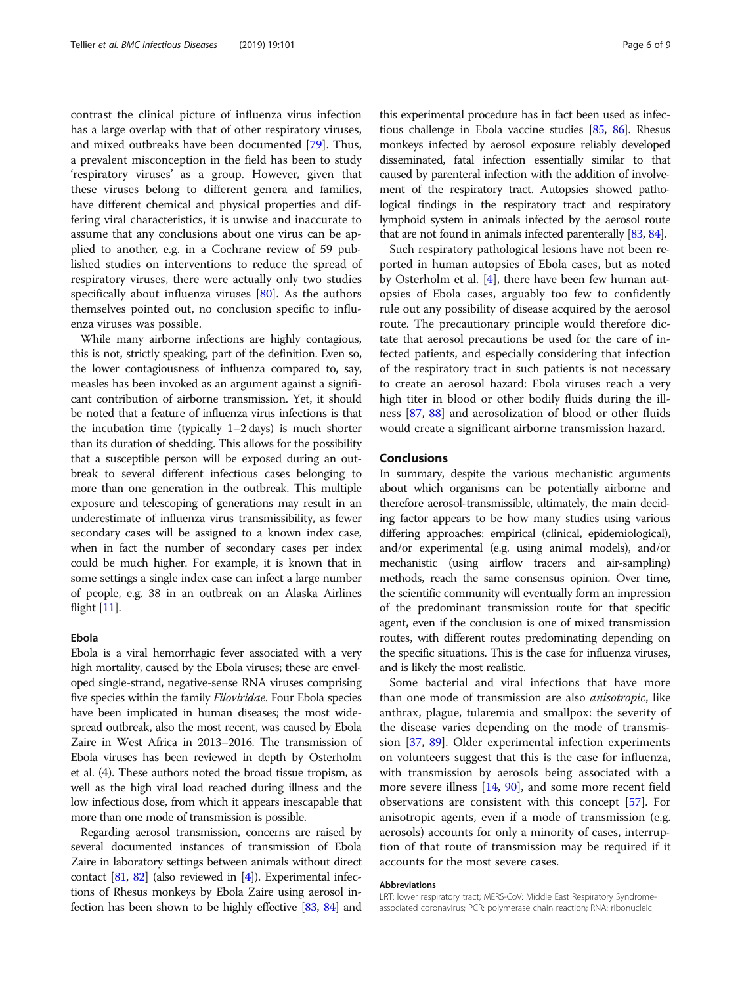contrast the clinical picture of influenza virus infection has a large overlap with that of other respiratory viruses, and mixed outbreaks have been documented [[79\]](#page-8-0). Thus, a prevalent misconception in the field has been to study 'respiratory viruses' as a group. However, given that these viruses belong to different genera and families, have different chemical and physical properties and differing viral characteristics, it is unwise and inaccurate to assume that any conclusions about one virus can be applied to another, e.g. in a Cochrane review of 59 published studies on interventions to reduce the spread of respiratory viruses, there were actually only two studies specifically about influenza viruses  $[80]$  $[80]$  $[80]$ . As the authors themselves pointed out, no conclusion specific to influenza viruses was possible.

While many airborne infections are highly contagious, this is not, strictly speaking, part of the definition. Even so, the lower contagiousness of influenza compared to, say, measles has been invoked as an argument against a significant contribution of airborne transmission. Yet, it should be noted that a feature of influenza virus infections is that the incubation time (typically 1–2 days) is much shorter than its duration of shedding. This allows for the possibility that a susceptible person will be exposed during an outbreak to several different infectious cases belonging to more than one generation in the outbreak. This multiple exposure and telescoping of generations may result in an underestimate of influenza virus transmissibility, as fewer secondary cases will be assigned to a known index case, when in fact the number of secondary cases per index could be much higher. For example, it is known that in some settings a single index case can infect a large number of people, e.g. 38 in an outbreak on an Alaska Airlines flight [[11](#page-6-0)].

# Ebola

Ebola is a viral hemorrhagic fever associated with a very high mortality, caused by the Ebola viruses; these are enveloped single-strand, negative-sense RNA viruses comprising five species within the family *Filoviridae*. Four Ebola species have been implicated in human diseases; the most widespread outbreak, also the most recent, was caused by Ebola Zaire in West Africa in 2013–2016. The transmission of Ebola viruses has been reviewed in depth by Osterholm et al. (4). These authors noted the broad tissue tropism, as well as the high viral load reached during illness and the low infectious dose, from which it appears inescapable that more than one mode of transmission is possible.

Regarding aerosol transmission, concerns are raised by several documented instances of transmission of Ebola Zaire in laboratory settings between animals without direct contact  $[81, 82]$  $[81, 82]$  $[81, 82]$  $[81, 82]$  (also reviewed in  $[4]$  $[4]$  $[4]$ ). Experimental infections of Rhesus monkeys by Ebola Zaire using aerosol infection has been shown to be highly effective [\[83](#page-8-0), [84](#page-8-0)] and

this experimental procedure has in fact been used as infectious challenge in Ebola vaccine studies [\[85](#page-8-0), [86](#page-8-0)]. Rhesus monkeys infected by aerosol exposure reliably developed disseminated, fatal infection essentially similar to that caused by parenteral infection with the addition of involvement of the respiratory tract. Autopsies showed pathological findings in the respiratory tract and respiratory lymphoid system in animals infected by the aerosol route that are not found in animals infected parenterally [[83](#page-8-0), [84](#page-8-0)].

Such respiratory pathological lesions have not been reported in human autopsies of Ebola cases, but as noted by Osterholm et al. [[4\]](#page-6-0), there have been few human autopsies of Ebola cases, arguably too few to confidently rule out any possibility of disease acquired by the aerosol route. The precautionary principle would therefore dictate that aerosol precautions be used for the care of infected patients, and especially considering that infection of the respiratory tract in such patients is not necessary to create an aerosol hazard: Ebola viruses reach a very high titer in blood or other bodily fluids during the illness [[87,](#page-8-0) [88](#page-8-0)] and aerosolization of blood or other fluids would create a significant airborne transmission hazard.

# Conclusions

In summary, despite the various mechanistic arguments about which organisms can be potentially airborne and therefore aerosol-transmissible, ultimately, the main deciding factor appears to be how many studies using various differing approaches: empirical (clinical, epidemiological), and/or experimental (e.g. using animal models), and/or mechanistic (using airflow tracers and air-sampling) methods, reach the same consensus opinion. Over time, the scientific community will eventually form an impression of the predominant transmission route for that specific agent, even if the conclusion is one of mixed transmission routes, with different routes predominating depending on the specific situations. This is the case for influenza viruses, and is likely the most realistic.

Some bacterial and viral infections that have more than one mode of transmission are also anisotropic, like anthrax, plague, tularemia and smallpox: the severity of the disease varies depending on the mode of transmission [[37,](#page-7-0) [89\]](#page-8-0). Older experimental infection experiments on volunteers suggest that this is the case for influenza, with transmission by aerosols being associated with a more severe illness [[14,](#page-6-0) [90](#page-8-0)], and some more recent field observations are consistent with this concept [\[57\]](#page-7-0). For anisotropic agents, even if a mode of transmission (e.g. aerosols) accounts for only a minority of cases, interruption of that route of transmission may be required if it accounts for the most severe cases.

#### Abbreviations

LRT: lower respiratory tract; MERS-CoV: Middle East Respiratory Syndromeassociated coronavirus; PCR: polymerase chain reaction; RNA: ribonucleic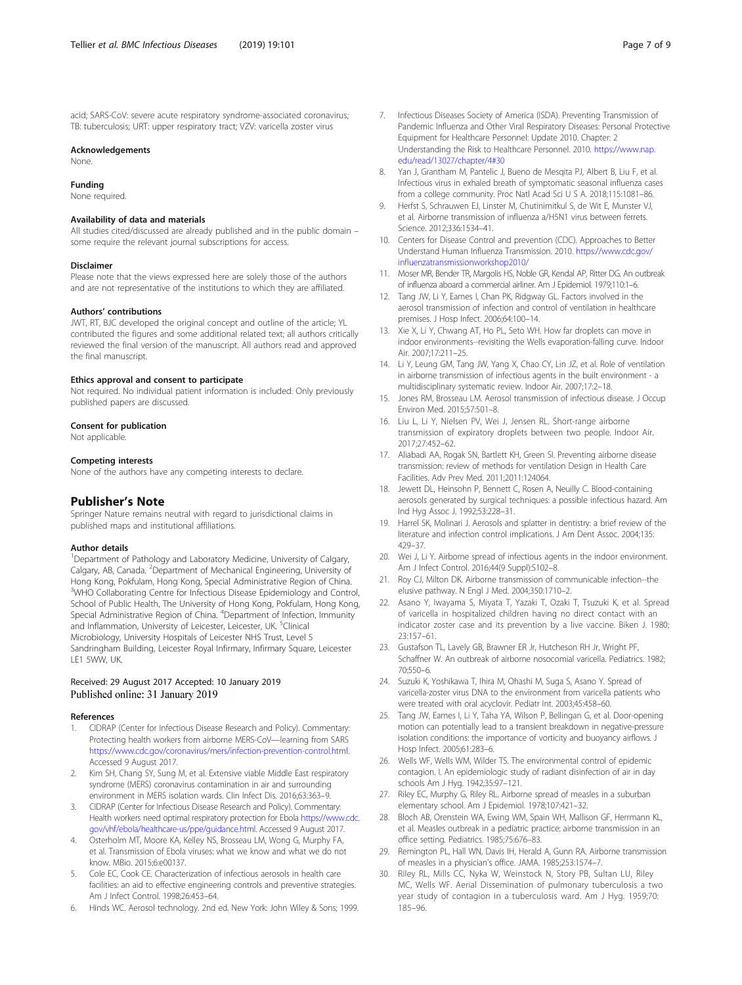<span id="page-6-0"></span>acid; SARS-CoV: severe acute respiratory syndrome-associated coronavirus; TB: tuberculosis; URT: upper respiratory tract; VZV: varicella zoster virus

#### Acknowledgements

None.

#### Funding

None required.

#### Availability of data and materials

All studies cited/discussed are already published and in the public domain – some require the relevant journal subscriptions for access.

#### Disclaimer

Please note that the views expressed here are solely those of the authors and are not representative of the institutions to which they are affiliated.

#### Authors' contributions

JWT, RT, BJC developed the original concept and outline of the article; YL contributed the figures and some additional related text; all authors critically reviewed the final version of the manuscript. All authors read and approved the final manuscript.

#### Ethics approval and consent to participate

Not required. No individual patient information is included. Only previously published papers are discussed.

#### Consent for publication

Not applicable.

# Competing interests

None of the authors have any competing interests to declare.

# Publisher's Note

Springer Nature remains neutral with regard to jurisdictional claims in published maps and institutional affiliations.

#### Author details

<sup>1</sup>Department of Pathology and Laboratory Medicine, University of Calgary, Calgary, AB, Canada. <sup>2</sup>Department of Mechanical Engineering, University of Hong Kong, Pokfulam, Hong Kong, Special Administrative Region of China. <sup>3</sup>WHO Collaborating Centre for Infectious Disease Epidemiology and Control, School of Public Health, The University of Hong Kong, Pokfulam, Hong Kong, Special Administrative Region of China. <sup>4</sup>Department of Infection, Immunity and Inflammation, University of Leicester, Leicester, UK. <sup>5</sup>Clinical Microbiology, University Hospitals of Leicester NHS Trust, Level 5 Sandringham Building, Leicester Royal Infirmary, Infirmary Square, Leicester LE1 5WW, UK.

### Received: 29 August 2017 Accepted: 10 January 2019 Published online: 31 January 2019

#### References

- 1. CIDRAP (Center for Infectious Disease Research and Policy). Commentary: Protecting health workers from airborne MERS-CoV—learning from SARS <https://www.cdc.gov/coronavirus/mers/infection-prevention-control.html>. Accessed 9 August 2017.
- 2. Kim SH, Chang SY, Sung M, et al. Extensive viable Middle East respiratory syndrome (MERS) coronavirus contamination in air and surrounding environment in MERS isolation wards. Clin Infect Dis. 2016;63:363–9.
- 3. CIDRAP (Center for Infectious Disease Research and Policy). Commentary: Health workers need optimal respiratory protection for Ebola [https://www.cdc.](https://www.cdc.gov/vhf/ebola/healthcare-us/ppe/guidance.html) [gov/vhf/ebola/healthcare-us/ppe/guidance.html](https://www.cdc.gov/vhf/ebola/healthcare-us/ppe/guidance.html). Accessed 9 August 2017.
- 4. Osterholm MT, Moore KA, Kelley NS, Brosseau LM, Wong G, Murphy FA, et al. Transmission of Ebola viruses: what we know and what we do not know. MBio. 2015;6:e00137.
- 5. Cole EC, Cook CE. Characterization of infectious aerosols in health care facilities: an aid to effective engineering controls and preventive strategies. Am J Infect Control. 1998;26:453–64.
- 6. Hinds WC. Aerosol technology. 2nd ed. New York: John Wiley & Sons; 1999.
- 7. Infectious Diseases Society of America (ISDA). Preventing Transmission of Pandemic Influenza and Other Viral Respiratory Diseases: Personal Protective Equipment for Healthcare Personnel: Update 2010. Chapter: 2 Understanding the Risk to Healthcare Personnel. 2010. [https://www.nap.](https://www.nap.edu/read/13027/chapter/4#30) [edu/read/13027/chapter/4#30](https://www.nap.edu/read/13027/chapter/4#30)
- 8. Yan J, Grantham M, Pantelic J, Bueno de Mesqita PJ, Albert B, Liu F, et al. Infectious virus in exhaled breath of symptomatic seasonal influenza cases from a college community. Proc Natl Acad Sci U S A. 2018;115:1081–86.
- 9. Herfst S, Schrauwen EJ, Linster M, Chutinimitkul S, de Wit E, Munster VJ, et al. Airborne transmission of influenza a/H5N1 virus between ferrets. Science. 2012;336:1534–41.
- 10. Centers for Disease Control and prevention (CDC). Approaches to Better Understand Human Influenza Transmission. 2010. [https://www.cdc.gov/](https://www.cdc.gov/influenzatransmissionworkshop2010/) [influenzatransmissionworkshop2010/](https://www.cdc.gov/influenzatransmissionworkshop2010/)
- 11. Moser MR, Bender TR, Margolis HS, Noble GR, Kendal AP, Ritter DG. An outbreak of influenza aboard a commercial airliner. Am J Epidemiol. 1979;110:1–6.
- 12. Tang JW, Li Y, Eames I, Chan PK, Ridgway GL. Factors involved in the aerosol transmission of infection and control of ventilation in healthcare premises. J Hosp Infect. 2006;64:100–14.
- 13. Xie X, Li Y, Chwang AT, Ho PL, Seto WH. How far droplets can move in indoor environments--revisiting the Wells evaporation-falling curve. Indoor Air. 2007;17:211–25.
- 14. Li Y, Leung GM, Tang JW, Yang X, Chao CY, Lin JZ, et al. Role of ventilation in airborne transmission of infectious agents in the built environment - a multidisciplinary systematic review. Indoor Air. 2007;17:2–18.
- 15. Jones RM, Brosseau LM. Aerosol transmission of infectious disease. J Occup Environ Med. 2015;57:501–8.
- 16. Liu L, Li Y, Nielsen PV, Wei J, Jensen RL. Short-range airborne transmission of expiratory droplets between two people. Indoor Air. 2017;27:452–62.
- 17. Aliabadi AA, Rogak SN, Bartlett KH, Green SI. Preventing airborne disease transmission: review of methods for ventilation Design in Health Care Facilities. Adv Prev Med. 2011;2011:124064.
- 18. Jewett DL, Heinsohn P, Bennett C, Rosen A, Neuilly C. Blood-containing aerosols generated by surgical techniques: a possible infectious hazard. Am Ind Hyg Assoc J. 1992;53:228–31.
- 19. Harrel SK, Molinari J. Aerosols and splatter in dentistry: a brief review of the literature and infection control implications. J Am Dent Assoc. 2004;135: 429–37.
- 20. Wei J, Li Y. Airborne spread of infectious agents in the indoor environment. Am J Infect Control. 2016;44(9 Suppl):S102–8.
- 21. Roy CJ, Milton DK. Airborne transmission of communicable infection--the elusive pathway. N Engl J Med. 2004;350:1710–2.
- 22. Asano Y, Iwayama S, Miyata T, Yazaki T, Ozaki T, Tsuzuki K, et al. Spread of varicella in hospitalized children having no direct contact with an indicator zoster case and its prevention by a live vaccine. Biken J. 1980; 23:157–61.
- 23. Gustafson TL, Lavely GB, Brawner ER Jr, Hutcheson RH Jr, Wright PF, Schaffner W. An outbreak of airborne nosocomial varicella. Pediatrics. 1982; 70:550–6.
- 24. Suzuki K, Yoshikawa T, Ihira M, Ohashi M, Suga S, Asano Y. Spread of varicella-zoster virus DNA to the environment from varicella patients who were treated with oral acyclovir. Pediatr Int. 2003;45:458–60.
- 25. Tang JW, Eames I, Li Y, Taha YA, Wilson P, Bellingan G, et al. Door-opening motion can potentially lead to a transient breakdown in negative-pressure isolation conditions: the importance of vorticity and buoyancy airflows. J Hosp Infect. 2005;61:283–6.
- 26. Wells WF, Wells WM, Wilder TS. The environmental control of epidemic contagion. I. An epidemiologic study of radiant disinfection of air in day schools Am J Hyg. 1942;35:97–121.
- 27. Riley EC, Murphy G, Riley RL. Airborne spread of measles in a suburban elementary school. Am J Epidemiol. 1978;107:421–32.
- 28. Bloch AB, Orenstein WA, Ewing WM, Spain WH, Mallison GF, Herrmann KL, et al. Measles outbreak in a pediatric practice: airborne transmission in an office setting. Pediatrics. 1985;75:676–83.
- 29. Remington PL, Hall WN, Davis IH, Herald A, Gunn RA. Airborne transmission of measles in a physician's office. JAMA. 1985;253:1574–7.
- 30. Riley RL, Mills CC, Nyka W, Weinstock N, Story PB, Sultan LU, Riley MC, Wells WF. Aerial Dissemination of pulmonary tuberculosis a two year study of contagion in a tuberculosis ward. Am J Hyg. 1959;70: 185–96.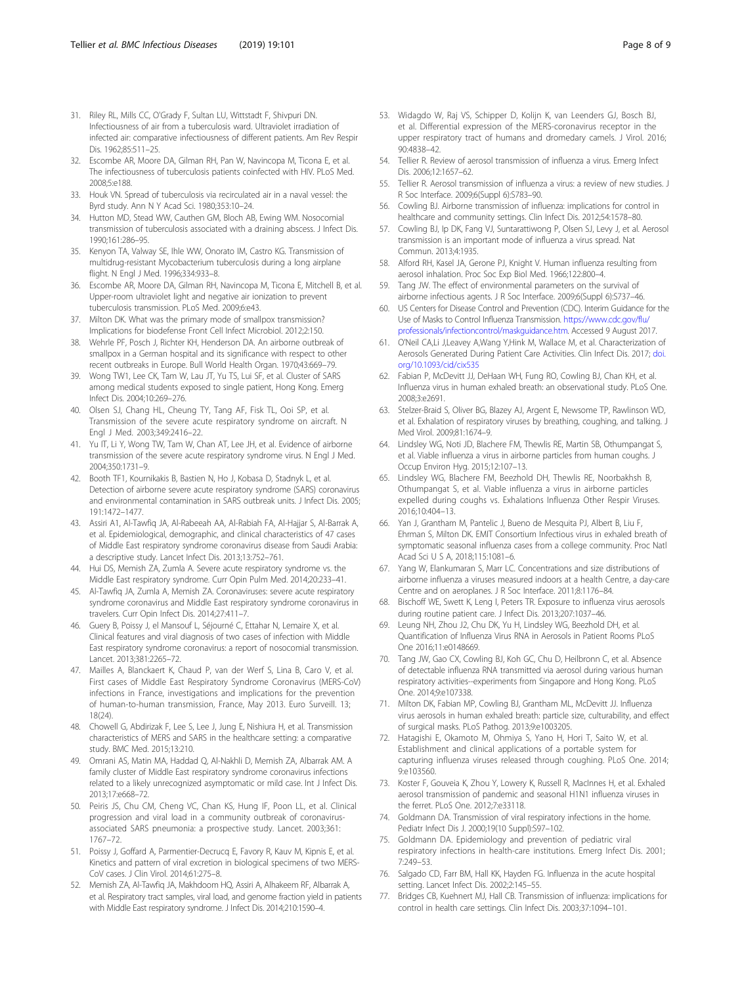- <span id="page-7-0"></span>31. Riley RL, Mills CC, O'Grady F, Sultan LU, Wittstadt F, Shivpuri DN. Infectiousness of air from a tuberculosis ward. Ultraviolet irradiation of infected air: comparative infectiousness of different patients. Am Rev Respir Dis. 1962;85:511–25.
- 32. Escombe AR, Moore DA, Gilman RH, Pan W, Navincopa M, Ticona E, et al. The infectiousness of tuberculosis patients coinfected with HIV. PLoS Med. 2008;5:e188.
- 33. Houk VN. Spread of tuberculosis via recirculated air in a naval vessel: the Byrd study. Ann N Y Acad Sci. 1980;353:10–24.
- 34. Hutton MD, Stead WW, Cauthen GM, Bloch AB, Ewing WM. Nosocomial transmission of tuberculosis associated with a draining abscess. J Infect Dis. 1990;161:286–95.
- 35. Kenyon TA, Valway SE, Ihle WW, Onorato IM, Castro KG. Transmission of multidrug-resistant Mycobacterium tuberculosis during a long airplane flight. N Engl J Med. 1996;334:933–8.
- 36. Escombe AR, Moore DA, Gilman RH, Navincopa M, Ticona E, Mitchell B, et al. Upper-room ultraviolet light and negative air ionization to prevent tuberculosis transmission. PLoS Med. 2009;6:e43.
- 37. Milton DK. What was the primary mode of smallpox transmission? Implications for biodefense Front Cell Infect Microbiol. 2012;2:150.
- 38. Wehrle PF, Posch J, Richter KH, Henderson DA. An airborne outbreak of smallpox in a German hospital and its significance with respect to other recent outbreaks in Europe. Bull World Health Organ. 1970;43:669–79.
- 39. Wong TW1, Lee CK, Tam W, Lau JT, Yu TS, Lui SF, et al. Cluster of SARS among medical students exposed to single patient, Hong Kong. Emerg Infect Dis. 2004;10:269–276.
- 40. Olsen SJ, Chang HL, Cheung TY, Tang AF, Fisk TL, Ooi SP, et al. Transmission of the severe acute respiratory syndrome on aircraft. N Engl J Med. 2003;349:2416–22.
- 41. Yu IT, Li Y, Wong TW, Tam W, Chan AT, Lee JH, et al. Evidence of airborne transmission of the severe acute respiratory syndrome virus. N Engl J Med. 2004;350:1731–9.
- 42. Booth TF1, Kournikakis B, Bastien N, Ho J, Kobasa D, Stadnyk L, et al. Detection of airborne severe acute respiratory syndrome (SARS) coronavirus and environmental contamination in SARS outbreak units. J Infect Dis. 2005; 191:1472–1477.
- 43. Assiri A1, Al-Tawfiq JA, Al-Rabeeah AA, Al-Rabiah FA, Al-Hajjar S, Al-Barrak A, et al. Epidemiological, demographic, and clinical characteristics of 47 cases of Middle East respiratory syndrome coronavirus disease from Saudi Arabia: a descriptive study. Lancet Infect Dis. 2013;13:752–761.
- 44. Hui DS, Memish ZA, Zumla A. Severe acute respiratory syndrome vs. the Middle East respiratory syndrome. Curr Opin Pulm Med. 2014;20:233–41.
- 45. Al-Tawfiq JA, Zumla A, Memish ZA. Coronaviruses: severe acute respiratory syndrome coronavirus and Middle East respiratory syndrome coronavirus in travelers. Curr Opin Infect Dis. 2014;27:411–7.
- 46. Guery B, Poissy J, el Mansouf L, Séjourné C, Ettahar N, Lemaire X, et al. Clinical features and viral diagnosis of two cases of infection with Middle East respiratory syndrome coronavirus: a report of nosocomial transmission. Lancet. 2013;381:2265–72.
- 47. Mailles A, Blanckaert K, Chaud P, van der Werf S, Lina B, Caro V, et al. First cases of Middle East Respiratory Syndrome Coronavirus (MERS-CoV) infections in France, investigations and implications for the prevention of human-to-human transmission, France, May 2013. Euro Surveill. 13; 18(24).
- 48. Chowell G, Abdirizak F, Lee S, Lee J, Jung E, Nishiura H, et al. Transmission characteristics of MERS and SARS in the healthcare setting: a comparative study. BMC Med. 2015;13:210.
- 49. Omrani AS, Matin MA, Haddad Q, Al-Nakhli D, Memish ZA, Albarrak AM. A family cluster of Middle East respiratory syndrome coronavirus infections related to a likely unrecognized asymptomatic or mild case. Int J Infect Dis. 2013;17:e668–72.
- 50. Peiris JS, Chu CM, Cheng VC, Chan KS, Hung IF, Poon LL, et al. Clinical progression and viral load in a community outbreak of coronavirusassociated SARS pneumonia: a prospective study. Lancet. 2003;361: 1767–72.
- 51. Poissy J, Goffard A, Parmentier-Decrucq E, Favory R, Kauv M, Kipnis E, et al. Kinetics and pattern of viral excretion in biological specimens of two MERS-CoV cases. J Clin Virol. 2014;61:275–8.
- 52. Memish ZA, Al-Tawfiq JA, Makhdoom HQ, Assiri A, Alhakeem RF, Albarrak A, et al. Respiratory tract samples, viral load, and genome fraction yield in patients with Middle East respiratory syndrome. J Infect Dis. 2014;210:1590–4.
- 53. Widagdo W, Raj VS, Schipper D, Kolijn K, van Leenders GJ, Bosch BJ, et al. Differential expression of the MERS-coronavirus receptor in the upper respiratory tract of humans and dromedary camels. J Virol. 2016; 90:4838–42.
- 54. Tellier R. Review of aerosol transmission of influenza a virus. Emerg Infect Dis. 2006;12:1657–62.
- 55. Tellier R. Aerosol transmission of influenza a virus: a review of new studies. J R Soc Interface. 2009;6(Suppl 6):S783–90.
- 56. Cowling BJ. Airborne transmission of influenza: implications for control in healthcare and community settings. Clin Infect Dis. 2012;54:1578–80.
- 57. Cowling BJ, Ip DK, Fang VJ, Suntarattiwong P, Olsen SJ, Levy J, et al. Aerosol transmission is an important mode of influenza a virus spread. Nat Commun. 2013;4:1935.
- 58. Alford RH, Kasel JA, Gerone PJ, Knight V. Human influenza resulting from aerosol inhalation. Proc Soc Exp Biol Med. 1966;122:800–4.
- 59. Tang JW. The effect of environmental parameters on the survival of airborne infectious agents. J R Soc Interface. 2009;6(Suppl 6):S737–46.
- 60. US Centers for Disease Control and Prevention (CDC). Interim Guidance for the Use of Masks to Control Influenza Transmission. [https://www.cdc.gov/flu/](https://www.cdc.gov/flu/professionals/infectioncontrol/maskguidance.htm) [professionals/infectioncontrol/maskguidance.htm.](https://www.cdc.gov/flu/professionals/infectioncontrol/maskguidance.htm) Accessed 9 August 2017.
- 61. O'Neil CA,Li J,Leavey A,Wang Y,Hink M, Wallace M, et al. Characterization of Aerosols Generated During Patient Care Activities. Clin Infect Dis. 2017; [doi.](http://doi.org/10.1093/cid/cix535) [org/10.1093/cid/cix535](http://doi.org/10.1093/cid/cix535)
- 62. Fabian P, McDevitt JJ, DeHaan WH, Fung RO, Cowling BJ, Chan KH, et al. Influenza virus in human exhaled breath: an observational study. PLoS One. 2008;3:e2691.
- 63. Stelzer-Braid S, Oliver BG, Blazey AJ, Argent E, Newsome TP, Rawlinson WD, et al. Exhalation of respiratory viruses by breathing, coughing, and talking. J Med Virol. 2009;81:1674–9.
- 64. Lindsley WG, Noti JD, Blachere FM, Thewlis RE, Martin SB, Othumpangat S, et al. Viable influenza a virus in airborne particles from human coughs. J Occup Environ Hyg. 2015;12:107–13.
- 65. Lindsley WG, Blachere FM, Beezhold DH, Thewlis RE, Noorbakhsh B, Othumpangat S, et al. Viable influenza a virus in airborne particles expelled during coughs vs. Exhalations Influenza Other Respir Viruses. 2016;10:404–13.
- 66. Yan J, Grantham M, Pantelic J, Bueno de Mesquita PJ, Albert B, Liu F, Ehrman S, Milton DK. EMIT Consortium Infectious virus in exhaled breath of symptomatic seasonal influenza cases from a college community. Proc Natl Acad Sci U S A, 2018;115:1081–6.
- 67. Yang W, Elankumaran S, Marr LC. Concentrations and size distributions of airborne influenza a viruses measured indoors at a health Centre, a day-care Centre and on aeroplanes. J R Soc Interface. 2011;8:1176–84.
- 68. Bischoff WE, Swett K, Leng I, Peters TR. Exposure to influenza virus aerosols during routine patient care. J Infect Dis. 2013;207:1037–46.
- 69. Leung NH, Zhou J2, Chu DK, Yu H, Lindsley WG, Beezhold DH, et al. Quantification of Influenza Virus RNA in Aerosols in Patient Rooms PLoS One 2016;11:e0148669.
- 70. Tang JW, Gao CX, Cowling BJ, Koh GC, Chu D, Heilbronn C, et al. Absence of detectable influenza RNA transmitted via aerosol during various human respiratory activities--experiments from Singapore and Hong Kong. PLoS One. 2014;9:e107338.
- 71. Milton DK, Fabian MP, Cowling BJ, Grantham ML, McDevitt JJ. Influenza virus aerosols in human exhaled breath: particle size, culturability, and effect of surgical masks. PLoS Pathog. 2013;9:e1003205.
- 72. Hatagishi E, Okamoto M, Ohmiya S, Yano H, Hori T, Saito W, et al. Establishment and clinical applications of a portable system for capturing influenza viruses released through coughing. PLoS One. 2014; 9:e103560.
- 73. Koster F, Gouveia K, Zhou Y, Lowery K, Russell R, MacInnes H, et al. Exhaled aerosol transmission of pandemic and seasonal H1N1 influenza viruses in the ferret. PLoS One. 2012;7:e33118.
- 74. Goldmann DA. Transmission of viral respiratory infections in the home. Pediatr Infect Dis J. 2000;19(10 Suppl):S97–102.
- 75. Goldmann DA. Epidemiology and prevention of pediatric viral respiratory infections in health-care institutions. Emerg Infect Dis. 2001; 7:249–53.
- 76. Salgado CD, Farr BM, Hall KK, Hayden FG. Influenza in the acute hospital setting. Lancet Infect Dis. 2002;2:145–55.
- 77. Bridges CB, Kuehnert MJ, Hall CB. Transmission of influenza: implications for control in health care settings. Clin Infect Dis. 2003;37:1094–101.